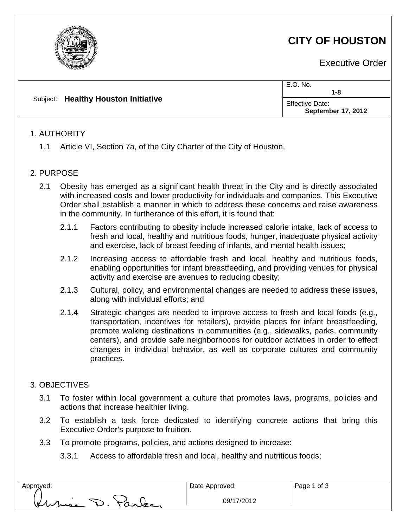

Executive Order

|                                     | E.O. No.<br>1-8                                     |
|-------------------------------------|-----------------------------------------------------|
| Subject: Healthy Houston Initiative | <b>Effective Date:</b><br><b>September 17, 2012</b> |

### 1. AUTHORITY

1.1 Article VI, Section 7a, of the City Charter of the City of Houston.

#### 2. PURPOSE

- 2.1 Obesity has emerged as a significant health threat in the City and is directly associated with increased costs and lower productivity for individuals and companies. This Executive Order shall establish a manner in which to address these concerns and raise awareness in the community. In furtherance of this effort, it is found that:
	- 2.1.1 Factors contributing to obesity include increased calorie intake, lack of access to fresh and local, healthy and nutritious foods, hunger, inadequate physical activity and exercise, lack of breast feeding of infants, and mental health issues;
	- 2.1.2 Increasing access to affordable fresh and local, healthy and nutritious foods, enabling opportunities for infant breastfeeding, and providing venues for physical activity and exercise are avenues to reducing obesity;
	- 2.1.3 Cultural, policy, and environmental changes are needed to address these issues, along with individual efforts; and
	- 2.1.4 Strategic changes are needed to improve access to fresh and local foods (e.g., transportation, incentives for retailers), provide places for infant breastfeeding, promote walking destinations in communities (e.g., sidewalks, parks, community centers), and provide safe neighborhoods for outdoor activities in order to effect changes in individual behavior, as well as corporate cultures and community practices.

### 3. OBJECTIVES

- 3.1 To foster within local government a culture that promotes laws, programs, policies and actions that increase healthier living.
- 3.2 To establish a task force dedicated to identifying concrete actions that bring this Executive Order's purpose to fruition.
- 3.3 To promote programs, policies, and actions designed to increase:
	- 3.3.1 Access to affordable fresh and local, healthy and nutritious foods;

Approved:  $\Box$  Date Approved: nie D. Parles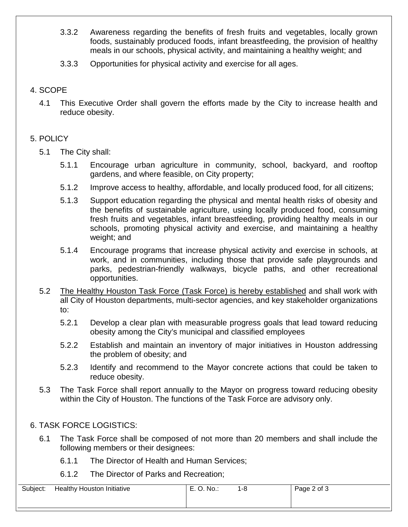- 3.3.2 Awareness regarding the benefits of fresh fruits and vegetables, locally grown foods, sustainably produced foods, infant breastfeeding, the provision of healthy meals in our schools, physical activity, and maintaining a healthy weight; and
- 3.3.3 Opportunities for physical activity and exercise for all ages.

### 4. SCOPE

4.1 This Executive Order shall govern the efforts made by the City to increase health and reduce obesity.

# 5. POLICY

- 5.1 The City shall:
	- 5.1.1 Encourage urban agriculture in community, school, backyard, and rooftop gardens, and where feasible, on City property;
	- 5.1.2 Improve access to healthy, affordable, and locally produced food, for all citizens;
	- 5.1.3 Support education regarding the physical and mental health risks of obesity and the benefits of sustainable agriculture, using locally produced food, consuming fresh fruits and vegetables, infant breastfeeding, providing healthy meals in our schools, promoting physical activity and exercise, and maintaining a healthy weight; and
	- 5.1.4 Encourage programs that increase physical activity and exercise in schools, at work, and in communities, including those that provide safe playgrounds and parks, pedestrian-friendly walkways, bicycle paths, and other recreational opportunities.
- 5.2 The Healthy Houston Task Force (Task Force) is hereby established and shall work with all City of Houston departments, multi-sector agencies, and key stakeholder organizations to:
	- 5.2.1 Develop a clear plan with measurable progress goals that lead toward reducing obesity among the City's municipal and classified employees
	- 5.2.2 Establish and maintain an inventory of major initiatives in Houston addressing the problem of obesity; and
	- 5.2.3 Identify and recommend to the Mayor concrete actions that could be taken to reduce obesity.
- 5.3 The Task Force shall report annually to the Mayor on progress toward reducing obesity within the City of Houston. The functions of the Task Force are advisory only.

## 6. TASK FORCE LOGISTICS:

- 6.1 The Task Force shall be composed of not more than 20 members and shall include the following members or their designees:
	- 6.1.1 The Director of Health and Human Services;
	- 6.1.2 The Director of Parks and Recreation;

| Subject: | <b>Healthy Houston Initiative</b> | E. O. No.: | 1-8 | Page 2 of 3 |
|----------|-----------------------------------|------------|-----|-------------|
|          |                                   |            |     |             |
|          |                                   |            |     |             |
|          |                                   |            |     |             |